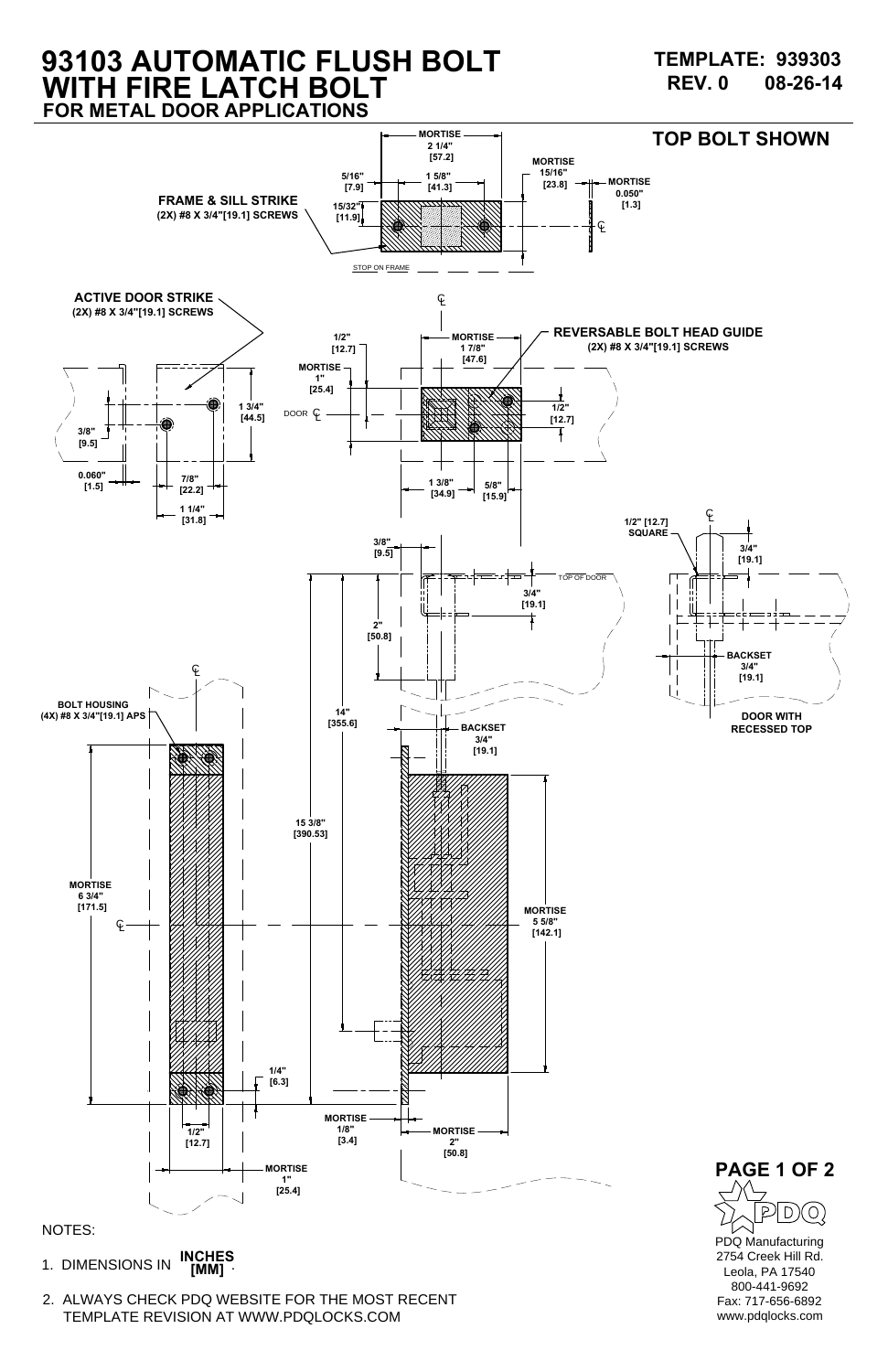**INCHES NOTES:<br>1. DIMENSIONS IN <b>INCHES**